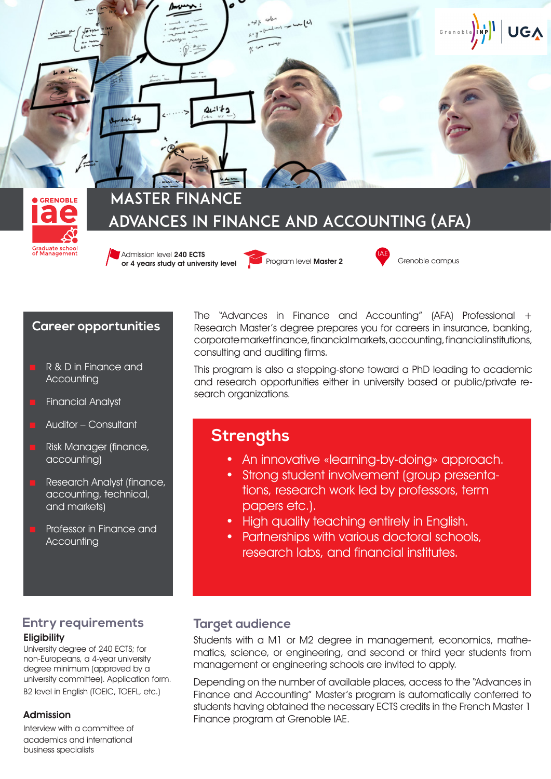

#### **Career opportunities**

- R & D in Finance and **Accounting**
- Financial Analyst
- Auditor Consultant
- Risk Manager (finance, accounting)
- Research Analyst (finance, accounting, technical, and markets)
- Professor in Finance and **Accounting**

### **Entry requirements Eligibility**

University degree of 240 ECTS; for non-Europeans, a 4-year university degree minimum (approved by a university committee). Application form. B<sub>2</sub> level in English (TOEIC, TOEFL, etc.)

#### Admission

Interview with a committee of academics and international business specialists

The "Advances in Finance and Accounting" (AFA) Professional + Research Master's degree prepares you for careers in insurance, banking, corporate market finance, financial markets, accounting, financial institutions, consulting and auditing firms.

This program is also a stepping-stone toward a PhD leading to academic and research opportunities either in university based or public/private research organizations.

# **Strengths**

- An innovative «learning-by-doing» approach.
- Strong student involvement (group presentations, research work led by professors, term papers etc.).
- High quality teaching entirely in English.
- Partnerships with various doctoral schools, research labs, and financial institutes.

## **Target audience**

Students with a M1 or M2 degree in management, economics, mathematics, science, or engineering, and second or third year students from management or engineering schools are invited to apply.

Depending on the number of available places, access to the "Advances in Finance and Accounting" Master's program is automatically conferred to students having obtained the necessary ECTS credits in the French Master 1 Finance program at Grenoble IAE.